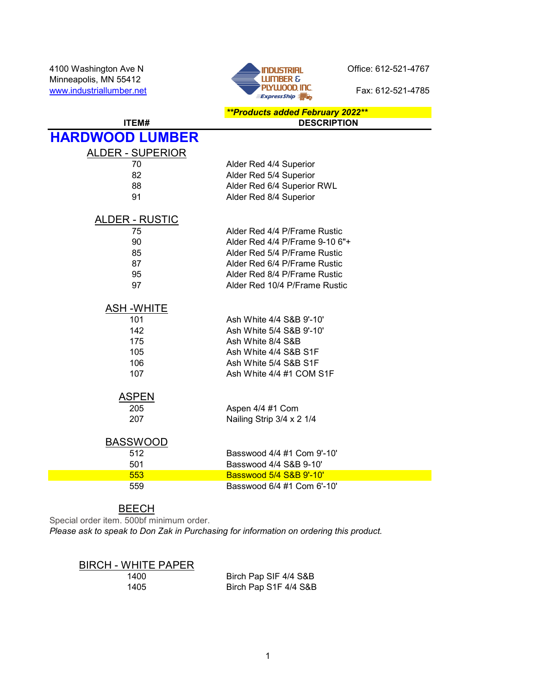4100 Washington Ave N<br>Minneapolis, MN 55412 **Contract Contract Contract Contract Contract Contract Contract Contract Contract Contract Contract Contract Contract Contract Contract Contract Contract Contract Contract Contra** Minneapolis, MN 55412



|                         | <b>**Products added February 2022**</b> |
|-------------------------|-----------------------------------------|
| ITEM#                   | <b>DESCRIPTION</b>                      |
| <b>HARDWOOD LUMBER</b>  |                                         |
| <b>ALDER - SUPERIOR</b> |                                         |
| 70                      | Alder Red 4/4 Superior                  |
| 82                      | Alder Red 5/4 Superior                  |
| 88                      | Alder Red 6/4 Superior RWL              |
| 91                      | Alder Red 8/4 Superior                  |
| <b>ALDER - RUSTIC</b>   |                                         |
| 75                      | Alder Red 4/4 P/Frame Rustic            |
| 90                      | Alder Red 4/4 P/Frame 9-10 6"+          |
| 85                      | Alder Red 5/4 P/Frame Rustic            |
| 87                      | Alder Red 6/4 P/Frame Rustic            |
| 95                      | Alder Red 8/4 P/Frame Rustic            |
| 97                      | Alder Red 10/4 P/Frame Rustic           |
| <b>ASH-WHITE</b>        |                                         |
| 101                     | Ash White 4/4 S&B 9'-10'                |
| 142                     | Ash White 5/4 S&B 9'-10'                |
| 175                     | Ash White 8/4 S&B                       |
| 105                     | Ash White 4/4 S&B S1F                   |
| 106                     | Ash White 5/4 S&B S1F                   |
| 107                     | Ash White 4/4 #1 COM S1F                |
| <b>ASPEN</b>            |                                         |
| 205                     | Aspen 4/4 #1 Com                        |
| 207                     | Nailing Strip 3/4 x 2 1/4               |
| <b>BASSWOOD</b>         |                                         |
| 512                     | Basswood 4/4 #1 Com 9'-10'              |
| 501                     | Basswood 4/4 S&B 9-10'                  |
| 553                     | Basswood 5/4 S&B 9'-10'                 |
| 559                     | Basswood 6/4 #1 Com 6'-10'              |

**BEECH** 

Special order item. 500bf minimum order.

Please ask to speak to Don Zak in Purchasing for information on ordering this product.

### BIRCH - WHITE PAPER

1400 Birch Pap SIF 4/4 S&B<br>1405 Birch Pap S1F 4/4 S&B Birch Pap S1F 4/4 S&B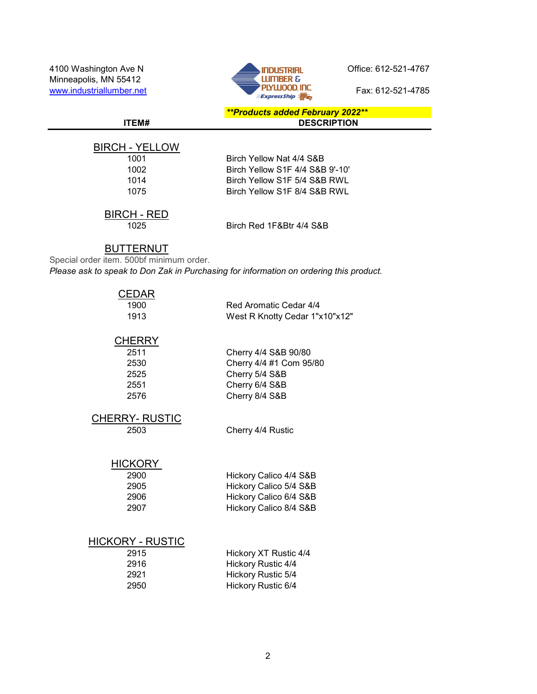4100 Washington Ave N<br>Minneapolis MN 55412<br> **Example Server Ave N** Office: 612-521-4767 Minneapolis, MN 55412



\*\*Products added February 2022\*\* ITEM# DESCRIPTION

BIRCH - YELLOW

| 1001 |  |
|------|--|
| 1002 |  |
| 1014 |  |
| 1075 |  |
|      |  |

Birch Yellow Nat 4/4 S&B Birch Yellow S1F 4/4 S&B 9'-10' Birch Yellow S1F 5/4 S&B RWL Birch Yellow S1F 8/4 S&B RWL

### BIRCH - RED

1025 Birch Red 1F&Btr 4/4 S&B

#### BUTTERNUT

Special order item. 500bf minimum order. Please ask to speak to Don Zak in Purchasing for information on ordering this product.

| ;EDAR<br>1900<br>1913                                 | Red Aromatic Cedar 4/4<br>West R Knotty Cedar 1"x10"x12"                                              |
|-------------------------------------------------------|-------------------------------------------------------------------------------------------------------|
| <b>CHERRY</b><br>2511<br>2530<br>2525<br>2551<br>2576 | Cherry 4/4 S&B 90/80<br>Cherry 4/4 #1 Com 95/80<br>Cherry 5/4 S&B<br>Cherry 6/4 S&B<br>Cherry 8/4 S&B |
| <b>CHERRY- RUSTIC</b><br>2503                         | Cherry 4/4 Rustic                                                                                     |
| <b>HICKORY</b><br>2900<br>2905<br>2906<br>2907        | Hickory Calico 4/4 S&B<br>Hickory Calico 5/4 S&B<br>Hickory Calico 6/4 S&B<br>Hickory Calico 8/4 S&B  |
| HICKORY - RUSTIC                                      |                                                                                                       |

### $HIC$

| 2915 | Hickory XT Rustic 4/4     |
|------|---------------------------|
| 2916 | Hickory Rustic 4/4        |
| 2921 | <b>Hickory Rustic 5/4</b> |
| 2950 | Hickory Rustic 6/4        |
|      |                           |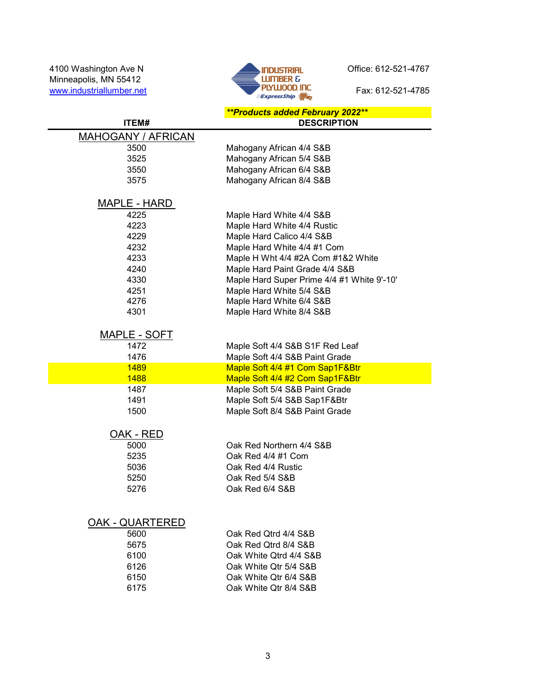Minneapolis, MN 55412 www.industriallumber.net Fax: 612-521-4785



|                           | <b>**Products added February 2022**</b>    |
|---------------------------|--------------------------------------------|
| <b>ITEM#</b>              | <b>DESCRIPTION</b>                         |
| <b>MAHOGANY / AFRICAN</b> |                                            |
| 3500                      | Mahogany African 4/4 S&B                   |
| 3525                      | Mahogany African 5/4 S&B                   |
| 3550                      | Mahogany African 6/4 S&B                   |
| 3575                      | Mahogany African 8/4 S&B                   |
|                           |                                            |
| MAPLE - HARD              |                                            |
| 4225                      | Maple Hard White 4/4 S&B                   |
| 4223                      | Maple Hard White 4/4 Rustic                |
| 4229                      | Maple Hard Calico 4/4 S&B                  |
| 4232                      | Maple Hard White 4/4 #1 Com                |
| 4233                      | Maple H Wht 4/4 #2A Com #1&2 White         |
| 4240                      | Maple Hard Paint Grade 4/4 S&B             |
| 4330                      | Maple Hard Super Prime 4/4 #1 White 9'-10' |
| 4251                      | Maple Hard White 5/4 S&B                   |
| 4276                      | Maple Hard White 6/4 S&B                   |
| 4301                      | Maple Hard White 8/4 S&B                   |
|                           |                                            |
| MAPLE - SOFT              |                                            |
| 1472                      | Maple Soft 4/4 S&B S1F Red Leaf            |
| 1476                      | Maple Soft 4/4 S&B Paint Grade             |
| <b>1489</b>               | Maple Soft 4/4 #1 Com Sap1F&Btr            |
| 1488                      | Maple Soft 4/4 #2 Com Sap1F&Btr            |
| 1487                      | Maple Soft 5/4 S&B Paint Grade             |
| 1491                      | Maple Soft 5/4 S&B Sap1F&Btr               |
| 1500                      | Maple Soft 8/4 S&B Paint Grade             |
| OAK - RED                 |                                            |
| 5000                      | Oak Red Northern 4/4 S&B                   |
| 5235                      | Oak Red 4/4 #1 Com                         |
| 5036                      | Oak Red 4/4 Rustic                         |
| 5250                      | Oak Red 5/4 S&B                            |
| 5276                      | Oak Red 6/4 S&B                            |
|                           |                                            |
|                           |                                            |
| <b>OAK - QUARTERED</b>    |                                            |
| 5600                      | Oak Red Otrd 4/4 S&B                       |
| 5675                      | Oak Red Otrd 8/4 S&B                       |
| 6100                      | Oak White Otrd 4/4 S&B                     |
| 6126                      | Oak White Qtr 5/4 S&B                      |
| 6150                      | Oak White Qtr 6/4 S&B                      |
| 6175                      | Oak White Qtr 8/4 S&B                      |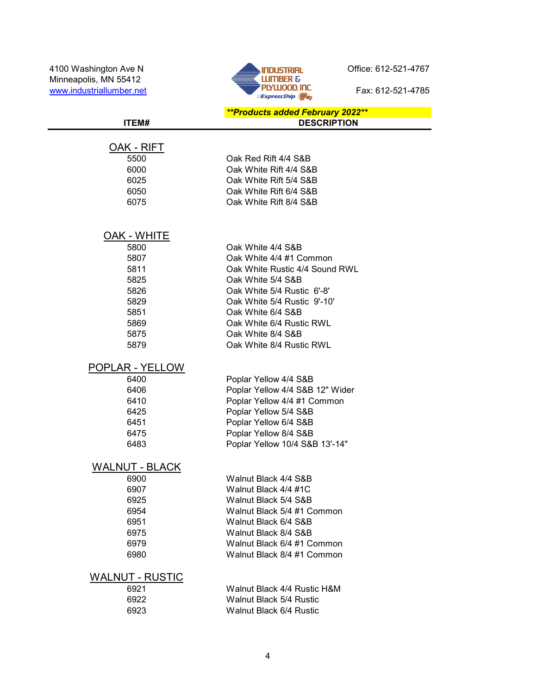Minneapolis, MN 55412 www.industriallumber.net **Fax: 612-521-4785** 



| ITEM#                  | <b>**Products added February 2022**</b><br><b>DESCRIPTION</b> |
|------------------------|---------------------------------------------------------------|
|                        |                                                               |
| OAK - RIFT             |                                                               |
| 5500                   | Oak Red Rift 4/4 S&B                                          |
| 6000                   | Oak White Rift 4/4 S&B                                        |
| 6025                   | Oak White Rift 5/4 S&B                                        |
| 6050                   | Oak White Rift 6/4 S&B                                        |
| 6075                   | Oak White Rift 8/4 S&B                                        |
|                        |                                                               |
|                        |                                                               |
| OAK - WHITE            |                                                               |
| 5800                   | Oak White 4/4 S&B                                             |
| 5807                   | Oak White 4/4 #1 Common                                       |
| 5811                   | Oak White Rustic 4/4 Sound RWL                                |
| 5825                   | Oak White 5/4 S&B                                             |
| 5826                   | Oak White 5/4 Rustic 6'-8'                                    |
| 5829                   | Oak White 5/4 Rustic 9'-10'                                   |
| 5851                   | Oak White 6/4 S&B                                             |
| 5869                   | Oak White 6/4 Rustic RWL                                      |
| 5875                   | Oak White 8/4 S&B                                             |
| 5879                   | Oak White 8/4 Rustic RWL                                      |
| POPLAR - YELLOW        |                                                               |
| 6400                   | Poplar Yellow 4/4 S&B                                         |
| 6406                   | Poplar Yellow 4/4 S&B 12" Wider                               |
| 6410                   | Poplar Yellow 4/4 #1 Common                                   |
| 6425                   | Poplar Yellow 5/4 S&B                                         |
| 6451                   | Poplar Yellow 6/4 S&B                                         |
| 6475                   | Poplar Yellow 8/4 S&B                                         |
| 6483                   | Poplar Yellow 10/4 S&B 13'-14"                                |
| <b>WALNUT - BLACK</b>  |                                                               |
| 6900                   | Walnut Black 4/4 S&B                                          |
| 6907                   | Walnut Black 4/4 #1C                                          |
| 6925                   | Walnut Black 5/4 S&B                                          |
| 6954                   | Walnut Black 5/4 #1 Common                                    |
| 6951                   | Walnut Black 6/4 S&B                                          |
| 6975                   | Walnut Black 8/4 S&B                                          |
| 6979                   | Walnut Black 6/4 #1 Common                                    |
| 6980                   | Walnut Black 8/4 #1 Common                                    |
|                        |                                                               |
| <b>WALNUT - RUSTIC</b> |                                                               |
| 6921                   | Walnut Black 4/4 Rustic H&M                                   |
| 6922<br>6923           | Walnut Black 5/4 Rustic<br>Walnut Black 6/4 Rustic            |
|                        |                                                               |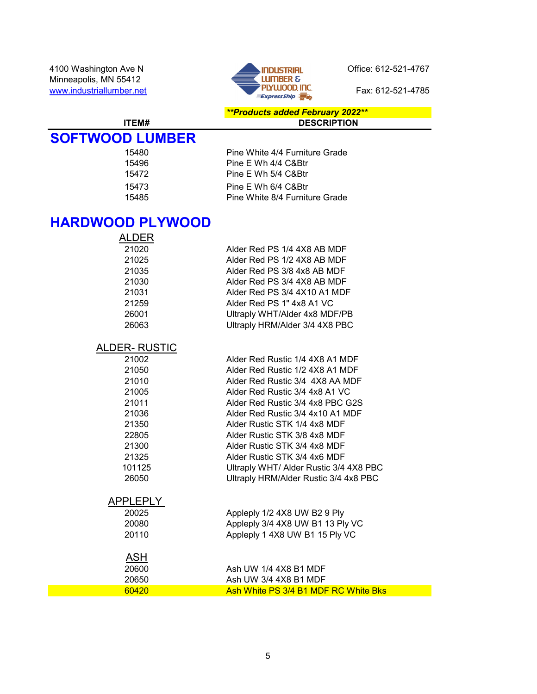

#### \*\*Products added February 2022\*\* ITEM# DESCRIPTION

# SOFTWOOD LUMBER

| 15496<br>Pine E Wh 4/4 C&Btr<br>15472<br>Pine E Wh 5/4 C&Btr<br>15473<br>Pine E Wh 6/4 C&Btr<br>15485 | 15480 | Pine White 4/4 Furniture Grade |
|-------------------------------------------------------------------------------------------------------|-------|--------------------------------|
|                                                                                                       |       |                                |
|                                                                                                       |       |                                |
|                                                                                                       |       |                                |
|                                                                                                       |       | Pine White 8/4 Furniture Grade |

### HARDWOOD PLYWOOD

| ALDER |                                |
|-------|--------------------------------|
| 21020 | Alder Red PS 1/4 4X8 AB MDF    |
| 21025 | Alder Red PS 1/2 4X8 AB MDF    |
| 21035 | Alder Red PS 3/8 4x8 AB MDF    |
| 21030 | Alder Red PS 3/4 4X8 AB MDF    |
| 21031 | Alder Red PS 3/4 4X10 A1 MDF   |
| 21259 | Alder Red PS 1" 4x8 A1 VC      |
| 26001 | Ultraply WHT/Alder 4x8 MDF/PB  |
| 26063 | Ultraply HRM/Alder 3/4 4X8 PBC |

### ALDER- RUSTIC

| 21002  | Alder Red Rustic 1/4 4X8 A1 MDF        |
|--------|----------------------------------------|
| 21050  | Alder Red Rustic 1/2 4X8 A1 MDF        |
| 21010  | Alder Red Rustic 3/4 4X8 AA MDF        |
| 21005  | Alder Red Rustic 3/4 4x8 A1 VC         |
| 21011  | Alder Red Rustic 3/4 4x8 PBC G2S       |
| 21036  | Alder Red Rustic 3/4 4x10 A1 MDF       |
| 21350  | Alder Rustic STK 1/4 4x8 MDF           |
| 22805  | Alder Rustic STK 3/8 4x8 MDF           |
| 21300  | Alder Rustic STK 3/4 4x8 MDF           |
| 21325  | Alder Rustic STK 3/4 4x6 MDF           |
| 101125 | Ultraply WHT/ Alder Rustic 3/4 4X8 PBC |
| 26050  | Ultraply HRM/Alder Rustic 3/4 4x8 PBC  |
|        |                                        |

# APPLEPLY<br>20025

| 20025 | Appleply 1/2 4X8 UW B2 9 Ply     |
|-------|----------------------------------|
| 20080 | Appleply 3/4 4X8 UW B1 13 Ply VC |
| 20110 | Appleply 1 4X8 UW B1 15 Ply VC   |

# ASH

| 20600 | Ash UW 1/4 4X8 B1 MDF                |
|-------|--------------------------------------|
| 20650 | Ash UW 3/4 4X8 B1 MDF                |
| 60420 | Ash White PS 3/4 B1 MDF RC White Bks |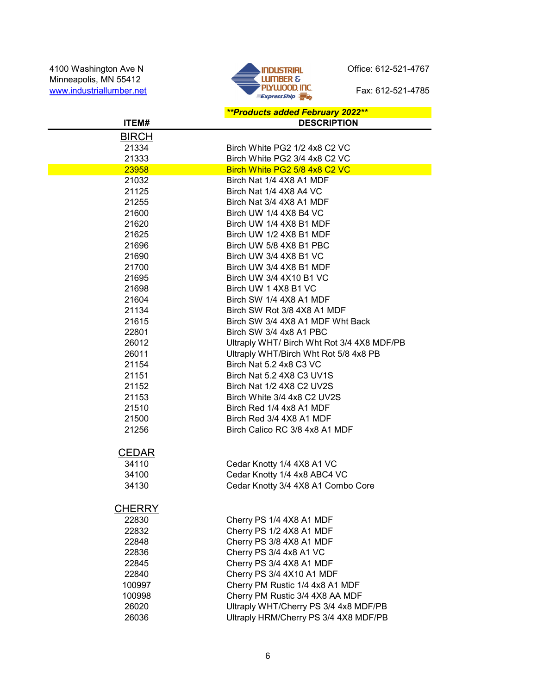

#### \*\*Products added February 2022\*\* ITEM# DESCRIPTION BIRCH 21334 Birch White PG2 1/2 4x8 C2 VC Birch White PG2 3/4 4x8 C2 VC 23958 Birch White PG2 5/8 4x8 C2 VC 21032 Birch Nat 1/4 4X8 A1 MDF 21125 Birch Nat 1/4 4X8 A4 VC Birch Nat 3/4 4X8 A1 MDF 21600 Birch UW 1/4 4X8 B4 VC 21620 Birch UW 1/4 4X8 B1 MDF 21625 Birch UW 1/2 4X8 B1 MDF 21696 Birch UW 5/8 4X8 B1 PBC 21690 Birch UW 3/4 4X8 B1 VC 21700 Birch UW 3/4 4X8 B1 MDF 21695 Birch UW 3/4 4X10 B1 VC 21698 Birch UW 1 4X8 B1 VC 21604 Birch SW 1/4 4X8 A1 MDF 21134 Birch SW Rot 3/8 4X8 A1 MDF 21615 Birch SW 3/4 4X8 A1 MDF Wht Back 22801 Birch SW 3/4 4x8 A1 PBC 26012 Ultraply WHT/ Birch Wht Rot 3/4 4X8 MDF/PB 26011 Ultraply WHT/Birch Wht Rot 5/8 4x8 PB 21154 Birch Nat 5.2 4x8 C3 VC 21151 Birch Nat 5.2 4X8 C3 UV1S 21152 Birch Nat 1/2 4X8 C2 UV2S 21153 Birch White 3/4 4x8 C2 UV2S 21510 Birch Red 1/4 4x8 A1 MDF 21500 Birch Red 3/4 4X8 A1 MDF Birch Calico RC 3/8 4x8 A1 MDF CEDAR 34110 Cedar Knotty 1/4 4X8 A1 VC 34100 Cedar Knotty 1/4 4x8 ABC4 VC 34130 Cedar Knotty 3/4 4X8 A1 Combo Core **CHERRY** 22830 Cherry PS 1/4 4X8 A1 MDF Cherry PS 1/2 4X8 A1 MDF 22848 Cherry PS 3/8 4X8 A1 MDF 22836 Cherry PS 3/4 4x8 A1 VC 22845 Cherry PS 3/4 4X8 A1 MDF 22840 Cherry PS 3/4 4X10 A1 MDF 100997 Cherry PM Rustic 1/4 4x8 A1 MDF 100998 Cherry PM Rustic 3/4 4X8 AA MDF 26020 Ultraply WHT/Cherry PS 3/4 4x8 MDF/PB 26036 Ultraply HRM/Cherry PS 3/4 4X8 MDF/PB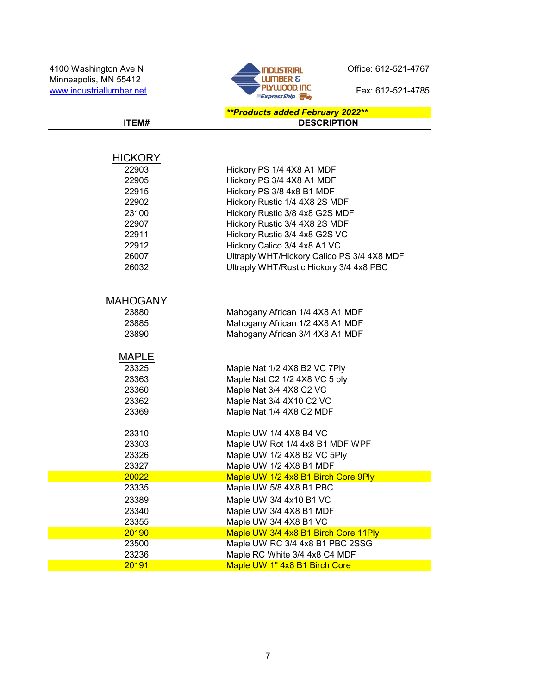

#### \*\*Products added February 2022\*\* ITEM# DESCRIPTION

| <b>HICKORY</b>  |                                            |
|-----------------|--------------------------------------------|
| 22903           | Hickory PS 1/4 4X8 A1 MDF                  |
| 22905           | Hickory PS 3/4 4X8 A1 MDF                  |
| 22915           | Hickory PS 3/8 4x8 B1 MDF                  |
| 22902           | Hickory Rustic 1/4 4X8 2S MDF              |
| 23100           | Hickory Rustic 3/8 4x8 G2S MDF             |
| 22907           | Hickory Rustic 3/4 4X8 2S MDF              |
| 22911           | Hickory Rustic 3/4 4x8 G2S VC              |
| 22912           | Hickory Calico 3/4 4x8 A1 VC               |
| 26007           | Ultraply WHT/Hickory Calico PS 3/4 4X8 MDF |
| 26032           | Ultraply WHT/Rustic Hickory 3/4 4x8 PBC    |
|                 |                                            |
| <b>MAHOGANY</b> |                                            |
| 23880           | Mahogany African 1/4 4X8 A1 MDF            |
| 23885           | Mahogany African 1/2 4X8 A1 MDF            |
| 23890           | Mahogany African 3/4 4X8 A1 MDF            |
| <b>MAPLE</b>    |                                            |
| 23325           | Maple Nat 1/2 4X8 B2 VC 7Ply               |
| 23363           | Maple Nat C2 1/2 4X8 VC 5 ply              |
| 23360           | Maple Nat 3/4 4X8 C2 VC                    |
| 23362           | Maple Nat 3/4 4X10 C2 VC                   |
| 23369           | Maple Nat 1/4 4X8 C2 MDF                   |
| 23310           | Maple UW 1/4 4X8 B4 VC                     |
| 23303           | Maple UW Rot 1/4 4x8 B1 MDF WPF            |
| 23326           | Maple UW 1/2 4X8 B2 VC 5Ply                |
| 23327           | Maple UW 1/2 4X8 B1 MDF                    |
| 20022           | Maple UW 1/2 4x8 B1 Birch Core 9Ply        |
| 23335           | Maple UW 5/8 4X8 B1 PBC                    |
| 23389           | Maple UW 3/4 4x10 B1 VC                    |
| 23340           | Maple UW 3/4 4X8 B1 MDF                    |
| 23355           | Maple UW 3/4 4X8 B1 VC                     |
| 20190           | Maple UW 3/4 4x8 B1 Birch Core 11Ply       |
| 23500           | Maple UW RC 3/4 4x8 B1 PBC 2SSG            |
| 23236           | Maple RC White 3/4 4x8 C4 MDF              |
| 20191           | Maple UW 1" 4x8 B1 Birch Core              |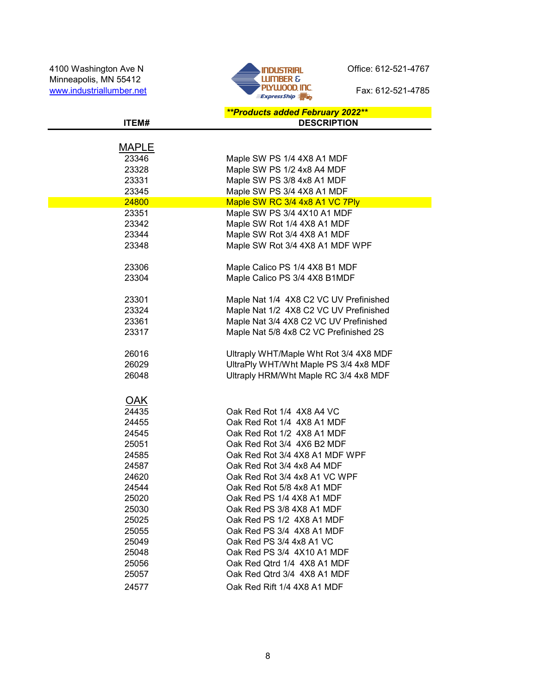

|            | <b>**Products added February 2022**</b> |
|------------|-----------------------------------------|
| ITEM#      | <b>DESCRIPTION</b>                      |
|            |                                         |
| MAPLE      |                                         |
| 23346      | Maple SW PS 1/4 4X8 A1 MDF              |
| 23328      | Maple SW PS 1/2 4x8 A4 MDF              |
| 23331      | Maple SW PS 3/8 4x8 A1 MDF              |
| 23345      | Maple SW PS 3/4 4X8 A1 MDF              |
| 24800      | Maple SW RC 3/4 4x8 A1 VC 7Ply          |
| 23351      | Maple SW PS 3/4 4X10 A1 MDF             |
| 23342      | Maple SW Rot 1/4 4X8 A1 MDF             |
| 23344      | Maple SW Rot 3/4 4X8 A1 MDF             |
| 23348      | Maple SW Rot 3/4 4X8 A1 MDF WPF         |
| 23306      | Maple Calico PS 1/4 4X8 B1 MDF          |
| 23304      | Maple Calico PS 3/4 4X8 B1MDF           |
|            |                                         |
| 23301      | Maple Nat 1/4 4X8 C2 VC UV Prefinished  |
| 23324      | Maple Nat 1/2 4X8 C2 VC UV Prefinished  |
| 23361      | Maple Nat 3/4 4X8 C2 VC UV Prefinished  |
| 23317      | Maple Nat 5/8 4x8 C2 VC Prefinished 2S  |
|            |                                         |
| 26016      | Ultraply WHT/Maple Wht Rot 3/4 4X8 MDF  |
| 26029      | UltraPly WHT/Wht Maple PS 3/4 4x8 MDF   |
| 26048      | Ultraply HRM/Wht Maple RC 3/4 4x8 MDF   |
|            |                                         |
| <b>OAK</b> |                                         |
| 24435      | Oak Red Rot 1/4 4X8 A4 VC               |
| 24455      | Oak Red Rot 1/4 4X8 A1 MDF              |
| 24545      | Oak Red Rot 1/2 4X8 A1 MDF              |
| 25051      | Oak Red Rot 3/4 4X6 B2 MDF              |
| 24585      | Oak Red Rot 3/4 4X8 A1 MDF WPF          |
| 24587      | Oak Red Rot 3/4 4x8 A4 MDF              |
| 24620      | Oak Red Rot 3/4 4x8 A1 VC WPF           |
| 24544      | Oak Red Rot 5/8 4x8 A1 MDF              |
| 25020      | Oak Red PS 1/4 4X8 A1 MDF               |
| 25030      | Oak Red PS 3/8 4X8 A1 MDF               |
| 25025      | Oak Red PS 1/2 4X8 A1 MDF               |
| 25055      | Oak Red PS 3/4 4X8 A1 MDF               |
| 25049      | Oak Red PS 3/4 4x8 A1 VC                |
| 25048      | Oak Red PS 3/4 4X10 A1 MDF              |
| 25056      | Oak Red Qtrd 1/4 4X8 A1 MDF             |
| 25057      | Oak Red Qtrd 3/4 4X8 A1 MDF             |
| 24577      | Oak Red Rift 1/4 4X8 A1 MDF             |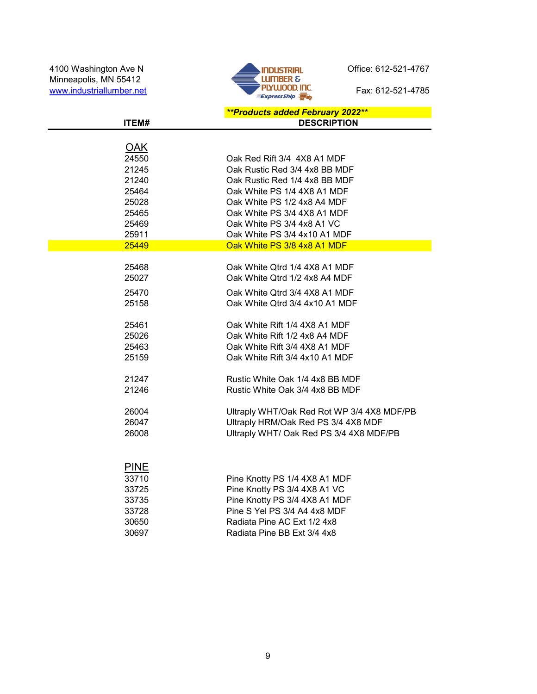Minneapolis, MN 55412 www.industriallumber.net Fax: 612-521-4785



|             | **Products added February 2022**           |
|-------------|--------------------------------------------|
| ITEM#       | <b>DESCRIPTION</b>                         |
|             |                                            |
| <u>OAK</u>  |                                            |
| 24550       | Oak Red Rift 3/4 4X8 A1 MDF                |
| 21245       | Oak Rustic Red 3/4 4x8 BB MDF              |
| 21240       | Oak Rustic Red 1/4 4x8 BB MDF              |
| 25464       | Oak White PS 1/4 4X8 A1 MDF                |
| 25028       | Oak White PS 1/2 4x8 A4 MDF                |
| 25465       | Oak White PS 3/4 4X8 A1 MDF                |
| 25469       | Oak White PS 3/4 4x8 A1 VC                 |
| 25911       | Oak White PS 3/4 4x10 A1 MDF               |
| 25449       | Oak White PS 3/8 4x8 A1 MDF                |
|             |                                            |
| 25468       | Oak White Qtrd 1/4 4X8 A1 MDF              |
| 25027       | Oak White Qtrd 1/2 4x8 A4 MDF              |
| 25470       | Oak White Qtrd 3/4 4X8 A1 MDF              |
| 25158       | Oak White Qtrd 3/4 4x10 A1 MDF             |
|             |                                            |
| 25461       | Oak White Rift 1/4 4X8 A1 MDF              |
| 25026       | Oak White Rift 1/2 4x8 A4 MDF              |
| 25463       | Oak White Rift 3/4 4X8 A1 MDF              |
| 25159       | Oak White Rift 3/4 4x10 A1 MDF             |
| 21247       | Rustic White Oak 1/4 4x8 BB MDF            |
| 21246       | Rustic White Oak 3/4 4x8 BB MDF            |
|             |                                            |
| 26004       | Ultraply WHT/Oak Red Rot WP 3/4 4X8 MDF/PB |
| 26047       | Ultraply HRM/Oak Red PS 3/4 4X8 MDF        |
| 26008       | Ultraply WHT/ Oak Red PS 3/4 4X8 MDF/PB    |
|             |                                            |
|             |                                            |
| <b>PINE</b> |                                            |
| 33710       | Pine Knotty PS 1/4 4X8 A1 MDF              |
| 33725       | Pine Knotty PS 3/4 4X8 A1 VC               |
| 33735       | Pine Knotty PS 3/4 4X8 A1 MDF              |
| 33728       | Pine S Yel PS 3/4 A4 4x8 MDF               |
| 30650       | Radiata Pine AC Ext 1/2 4x8                |
| 30697       | Radiata Pine BB Ext 3/4 4x8                |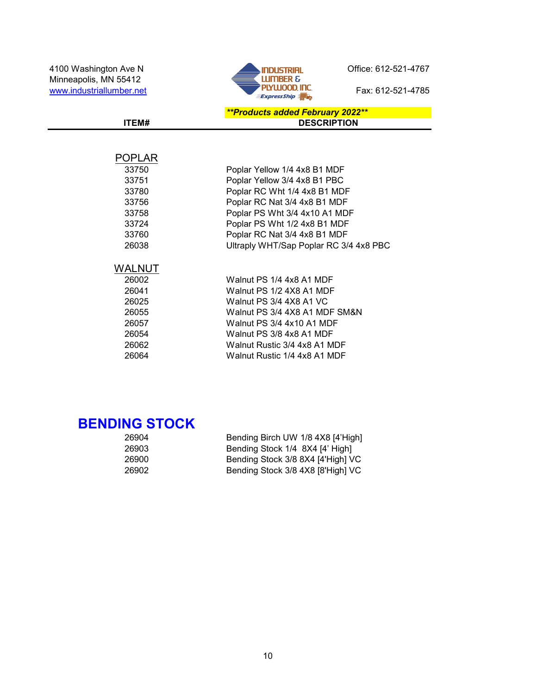

#### \*\*Products added February 2022\*\* ITEM# DESCRIPTION

### POPLAR

| 33750  | Poplar Yellow 1/4 4x8 B1 MDF           |
|--------|----------------------------------------|
| 33751  | Poplar Yellow 3/4 4x8 B1 PBC           |
| 33780  | Poplar RC Wht 1/4 4x8 B1 MDF           |
| 33756  | Poplar RC Nat 3/4 4x8 B1 MDF           |
| 33758  | Poplar PS Wht 3/4 4x10 A1 MDF          |
| 33724  | Poplar PS Wht 1/2 4x8 B1 MDF           |
| 33760  | Poplar RC Nat 3/4 4x8 B1 MDF           |
| 26038  | Ultraply WHT/Sap Poplar RC 3/4 4x8 PBC |
|        |                                        |
| WALNUT |                                        |
| 26002  | Walnut PS 1/4 4x8 A1 MDF               |
| 26041  | Walnut PS 1/2 4X8 A1 MDF               |
| 26025  | Walnut PS 3/4 4X8 A1 VC                |
| 26055  | Walnut PS 3/4 4X8 A1 MDF SM&N          |
| 26057  | Walnut PS 3/4 4x10 A1 MDF              |
| 26054  | Walnut PS 3/8 4x8 A1 MDF               |
| 26062  | Walnut Rustic 3/4 4x8 A1 MDF           |
| 26064  | Walnut Rustic 1/4 4x8 A1 MDF           |

### BENDING STOCK

| 26904 | Bending Birch UW 1/8 4X8 [4'High] |
|-------|-----------------------------------|
| 26903 | Bending Stock 1/4 8X4 [4' High]   |
| 26900 | Bending Stock 3/8 8X4 [4'High] VC |
| 26902 | Bending Stock 3/8 4X8 [8'High] VC |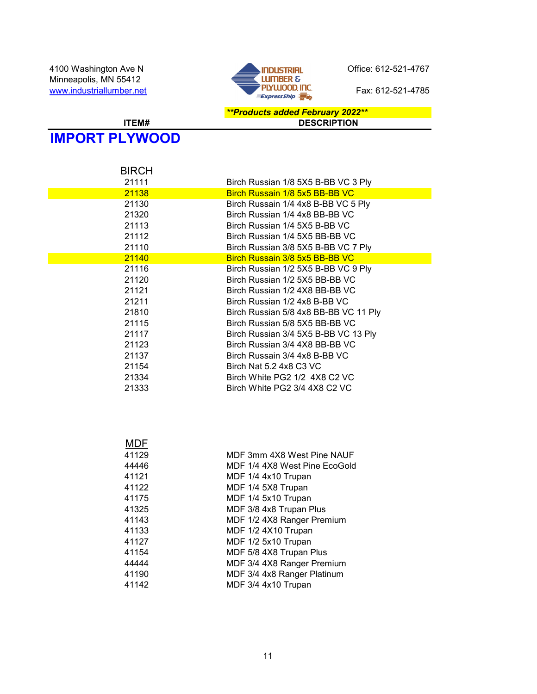

#### \*\*Products added February 2022\*\* ITEM# DESCRIPTION

# IMPORT PLYWOOD

| <b>BIRCH</b> |                                       |
|--------------|---------------------------------------|
| 21111        | Birch Russian 1/8 5X5 B-BB VC 3 Ply   |
| 21138        | Birch Russain 1/8 5x5 BB-BB VC        |
| 21130        | Birch Russain 1/4 4x8 B-BB VC 5 Ply   |
| 21320        | Birch Russian 1/4 4x8 BB-BB VC        |
| 21113        | Birch Russian 1/4 5X5 B-BB VC         |
| 21112        | Birch Russian 1/4 5X5 BB-BB VC        |
| 21110        | Birch Russian 3/8 5X5 B-BB VC 7 Ply   |
| 21140        | Birch Russain 3/8 5x5 BB-BB VC        |
| 21116        | Birch Russian 1/2 5X5 B-BB VC 9 Ply   |
| 21120        | Birch Russian 1/2 5X5 BB-BB VC        |
| 21121        | Birch Russian 1/2 4X8 BB-BB VC        |
| 21211        | Birch Russian 1/2 4x8 B-BB VC         |
| 21810        | Birch Russian 5/8 4x8 BB-BB VC 11 Ply |
| 21115        | Birch Russian 5/8 5X5 BB-BB VC        |
| 21117        | Birch Russian 3/4 5X5 B-BB VC 13 Ply  |
| 21123        | Birch Russian 3/4 4X8 BB-BB VC        |
| 21137        | Birch Russain 3/4 4x8 B-BB VC         |
| 21154        | Birch Nat 5.2 4x8 C3 VC               |
| 21334        | Birch White PG2 1/2 4X8 C2 VC         |
| 21333        | Birch White PG2 3/4 4X8 C2 VC         |
|              |                                       |
|              |                                       |
|              |                                       |
|              |                                       |
| <b>MDF</b>   |                                       |
| 41129        | MDF 3mm 4X8 West Pine NAUF            |
| 44446        | MDF 1/4 4X8 West Pine EcoGold         |
| 41121        | MDF 1/4 4x10 Trupan                   |
| 41122        | MDF 1/4 5X8 Trupan                    |
| 41175        | MDF 1/4 5x10 Trupan                   |
| 41325        | MDF 3/8 4x8 Trupan Plus               |
| 41143        | MDF 1/2 4X8 Ranger Premium            |
| 41133        | MDF 1/2 4X10 Trupan                   |
| 41127        | MDF 1/2 5x10 Trupan                   |
| 41154        | MDF 5/8 4X8 Trupan Plus               |
| 44444        | MDF 3/4 4X8 Ranger Premium            |
| 41190        | MDF 3/4 4x8 Ranger Platinum           |
| 41142        | MDF 3/4 4x10 Trupan                   |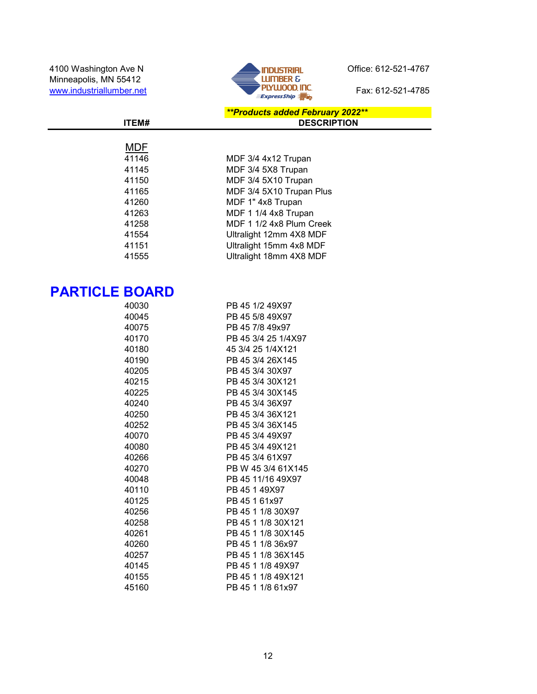

#### \*\*Products added February 2022\*\* ITEM# DESCRIPTION

| MDF   |                          |
|-------|--------------------------|
| 41146 | MDF 3/4 4x12 Trupan      |
| 41145 | MDF 3/4 5X8 Trupan       |
| 41150 | MDF 3/4 5X10 Trupan      |
| 41165 | MDF 3/4 5X10 Trupan Plus |
| 41260 | MDF 1" 4x8 Trupan        |
| 41263 | MDF 1 1/4 4x8 Trupan     |
| 41258 | MDF 1 1/2 4x8 Plum Creek |
| 41554 | Ultralight 12mm 4X8 MDF  |
| 41151 | Ultralight 15mm 4x8 MDF  |
| 41555 | Ultralight 18mm 4X8 MDF  |
|       |                          |

# PARTICLE BOARD

| 40030 | PB 45 1/2 49X97     |
|-------|---------------------|
| 40045 | PB 45 5/8 49X97     |
| 40075 | PB 45 7/8 49x97     |
| 40170 | PB 45 3/4 25 1/4X97 |
| 40180 | 45 3/4 25 1/4X121   |
| 40190 | PB 45 3/4 26X145    |
| 40205 | PB 45 3/4 30X97     |
| 40215 | PB 45 3/4 30X121    |
| 40225 | PB 45 3/4 30X145    |
| 40240 | PB 45 3/4 36X97     |
| 40250 | PB 45 3/4 36X121    |
| 40252 | PB 45 3/4 36X145    |
| 40070 | PB 45 3/4 49X97     |
| 40080 | PB 45 3/4 49X121    |
| 40266 | PB 45 3/4 61X97     |
| 40270 | PB W 45 3/4 61X145  |
| 40048 | PB 45 11/16 49X97   |
| 40110 | PB 45 1 49X97       |
| 40125 | PB 45 1 61x97       |
| 40256 | PB 45 1 1/8 30X97   |
| 40258 | PB 45 1 1/8 30X121  |
| 40261 | PB 45 1 1/8 30X145  |
| 40260 | PB 45 1 1/8 36x97   |
| 40257 | PB 45 1 1/8 36X145  |
| 40145 | PB 45 1 1/8 49X97   |
| 40155 | PB 45 1 1/8 49X121  |
| 45160 | PB 45 1 1/8 61x97   |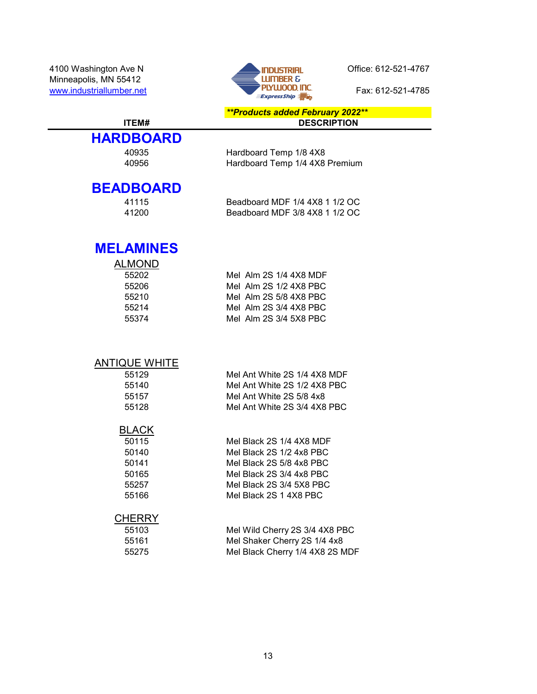4100 Washington Ave N<br>Minneapolis MN 55412<br> **Example Server Ave N** Office: 612-521-4767 Minneapolis, MN 55412



\*\*Products added February 2022\*\* ITEM# DESCRIPTION

# **HARDBOARD**

#### 40935 Hardboard Temp 1/8 4X8 40956 Hardboard Temp 1/4 4X8 Premium

### **BEADBOARD**

41115 Beadboard MDF 1/4 4X8 1 1/2 OC<br>41200 Beadboard MDF 3/8 4X8 1 1/2 OC Beadboard MDF 3/8 4X8 1 1/2 OC

### MELAMINES

| Mel Alm 2S 1/4 4X8 MDF |
|------------------------|
| Mel Alm 2S 1/2 4X8 PBC |
| Mel Alm 2S 5/8 4X8 PBC |
| Mel Alm 2S 3/4 4X8 PBC |
| Mel Alm 2S 3/4 5X8 PBC |
|                        |

#### ANTIQUE WHITE

| 55129 | Mel Ant White 2S 1/4 4X8 MDF |
|-------|------------------------------|
| 55140 | Mel Ant White 2S 1/2 4X8 PBC |
| 55157 | Mel Ant White 2S 5/8 4x8     |
| 55128 | Mel Ant White 2S 3/4 4X8 PBC |

#### BLACK

| .     |                          |
|-------|--------------------------|
| 50115 | Mel Black 2S 1/4 4X8 MDF |
| 50140 | Mel Black 2S 1/2 4x8 PBC |
| 50141 | Mel Black 2S 5/8 4x8 PBC |
| 50165 | Mel Black 2S 3/4 4x8 PBC |
| 55257 | Mel Black 2S 3/4 5X8 PBC |
| 55166 | Mel Black 2S 1 4X8 PBC   |
|       |                          |

#### **CHERRY**

| 55103 | Mel Wild Cherry 2S 3/4 4X8 PBC  |
|-------|---------------------------------|
| 55161 | Mel Shaker Cherry 2S 1/4 4x8    |
| 55275 | Mel Black Cherry 1/4 4X8 2S MDF |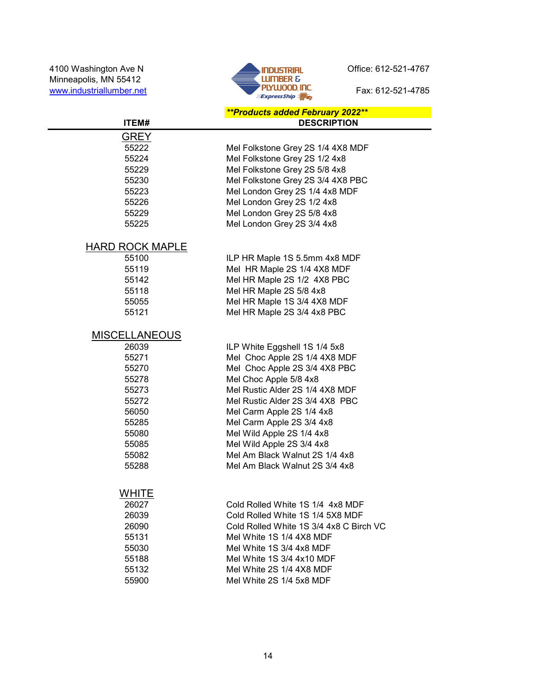4100 Washington Ave N<br>Minneapolis, MN 55412 **Contract Contract Contract Contract Contract Contract Contract Contract Contract Contract Contract Contract Contract Contract Contract Contract Contract Contract Contract Contra** Minneapolis, MN 55412



#### \*\*Products added February 2022\*\* ITEM# DESCRIPTION

| 55222 | Mel Folkstone Grey 2S 1/4 4X8 MDF |
|-------|-----------------------------------|
| 55224 | Mel Folkstone Grey 2S 1/2 4x8     |
| 55229 | Mel Folkstone Grey 2S 5/8 4x8     |
| 55230 | Mel Folkstone Grey 2S 3/4 4X8 PBC |
| 55223 | Mel London Grey 2S 1/4 4x8 MDF    |
| 55226 | Mel London Grey 2S 1/2 4x8        |
| 55229 | Mel London Grey 2S 5/8 4x8        |
| 55225 | Mel London Grey 2S 3/4 4x8        |
|       |                                   |

### HARD ROCK MAPLE

55226

55225

GREY<br>55222

| 55100 | ILP HR Maple 1S 5.5mm 4x8 MDF |
|-------|-------------------------------|
| 55119 | Mel HR Maple 2S 1/4 4X8 MDF   |
| 55142 | Mel HR Maple 2S 1/2 4X8 PBC   |
| 55118 | Mel HR Maple 2S 5/8 4x8       |
| 55055 | Mel HR Maple 1S 3/4 4X8 MDF   |
| 55121 | Mel HR Maple 2S 3/4 4x8 PBC   |
|       |                               |

### **MISCELLANEOUS**

| 26039 | ILP White Eggshell 1S 1/4 5x8   |
|-------|---------------------------------|
| 55271 | Mel Choc Apple 2S 1/4 4X8 MDF   |
| 55270 | Mel Choc Apple 2S 3/4 4X8 PBC   |
| 55278 | Mel Choc Apple 5/8 4x8          |
| 55273 | Mel Rustic Alder 2S 1/4 4X8 MDF |
| 55272 | Mel Rustic Alder 2S 3/4 4X8 PBC |
| 56050 | Mel Carm Apple 2S 1/4 4x8       |
| 55285 | Mel Carm Apple 2S 3/4 4x8       |
| 55080 | Mel Wild Apple 2S 1/4 4x8       |
| 55085 | Mel Wild Apple 2S 3/4 4x8       |
| 55082 | Mel Am Black Walnut 2S 1/4 4x8  |
| 55288 | Mel Am Black Walnut 2S 3/4 4x8  |

#### **WHITE**

| 26027 | Cold Rolled White 1S 1/4 4x8 MDF        |
|-------|-----------------------------------------|
| 26039 | Cold Rolled White 1S 1/4 5X8 MDF        |
| 26090 | Cold Rolled White 1S 3/4 4x8 C Birch VC |
| 55131 | Mel White 1S 1/4 4X8 MDF                |
| 55030 | Mel White 1S 3/4 4x8 MDF                |
| 55188 | Mel White 1S 3/4 4x10 MDF               |
| 55132 | Mel White 2S 1/4 4X8 MDF                |
| 55900 | Mel White 2S 1/4 5x8 MDF                |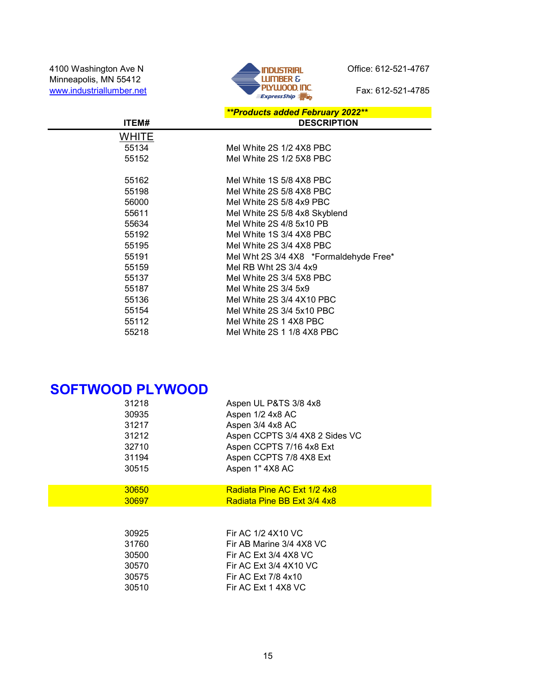4100 Washington Ave N<br>
Minneapolis, MN 55412<br>
Winneapolis, MN 55412<br>
Winneapolis, MN 55412<br>
MINNER &<br>
PLYWOOD. INC.<br>
Fax: 612-521-4785 Minneapolis, MN 55412



|       | <b>**Products added February 2022**</b> |
|-------|-----------------------------------------|
| ITEM# | <b>DESCRIPTION</b>                      |
| WHITE |                                         |
| 55134 | Mel White 2S 1/2 4X8 PBC                |
| 55152 | Mel White 2S 1/2 5X8 PBC                |
|       |                                         |
| 55162 | Mel White 1S 5/8 4X8 PBC                |
| 55198 | Mel White 2S 5/8 4X8 PBC                |
| 56000 | Mel White 2S 5/8 4x9 PBC                |
| 55611 | Mel White 2S 5/8 4x8 Skyblend           |
| 55634 | Mel White 2S 4/8 5x10 PB                |
| 55192 | Mel White 1S 3/4 4X8 PBC                |
| 55195 | Mel White 2S 3/4 4X8 PBC                |
| 55191 | Mel Wht 2S 3/4 4X8 *Formaldehyde Free*  |
| 55159 | Mel RB Wht 2S 3/4 4x9                   |
| 55137 | Mel White 2S 3/4 5X8 PBC                |
| 55187 | Mel White 2S 3/4 5x9                    |
| 55136 | Mel White 2S 3/4 4X10 PBC               |
| 55154 | Mel White 2S 3/4 5x10 PBC               |
| 55112 | Mel White 2S 1 4X8 PBC                  |
| 55218 | Mel White 2S 1 1/8 4X8 PBC              |

# SOFTWOOD PLYWOOD

| 31218 | Aspen UL P&TS 3/8 4x8          |
|-------|--------------------------------|
| 30935 | Aspen 1/2 4x8 AC               |
| 31217 | Aspen 3/4 4x8 AC               |
| 31212 | Aspen CCPTS 3/4 4X8 2 Sides VC |
| 32710 | Aspen CCPTS 7/16 4x8 Ext       |
| 31194 | Aspen CCPTS 7/8 4X8 Ext        |
| 30515 | Aspen 1" 4X8 AC                |
| 30650 | Radiata Pine AC Ext 1/2 4x8    |
| 30697 | Radiata Pine BB Ext 3/4 4x8    |
| 30925 | Fir AC 1/2 4X10 VC             |
| 31760 | Fir AB Marine 3/4 4X8 VC       |
| 30500 | Fir AC Ext 3/4 4X8 VC          |
| 30570 | Fir AC Ext 3/4 4X10 VC         |
| 30575 | Fir AC Ext 7/8 4x10            |
| 30510 | Fir AC Ext 1 4X8 VC            |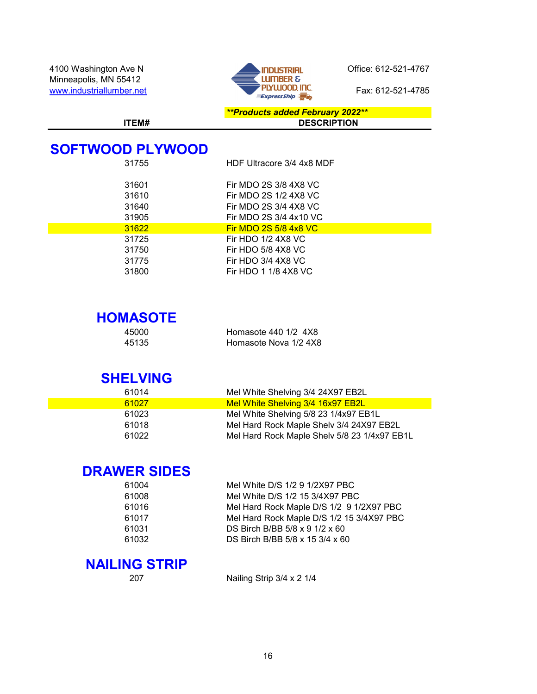

\*\*Products added February 2022\*\* ITEM# DESCRIPTION

# SOFTWOOD PLYWOOD

| 31755 | HDF Ultracore 3/4 4x8 MDF    |
|-------|------------------------------|
| 31601 | Fir MDO 2S 3/8 4X8 VC        |
| 31610 | Fir MDO 2S 1/2 4X8 VC        |
| 31640 | Fir MDO 2S 3/4 4X8 VC        |
| 31905 | Fir MDO 2S 3/4 4x10 VC       |
| 31622 | <b>Fir MDO 2S 5/8 4x8 VC</b> |
| 31725 | Fir HDO 1/2 4X8 VC           |
| 31750 | Fir HDO 5/8 4X8 VC           |
| 31775 | Fir HDO 3/4 4X8 VC           |
| 31800 | Fir HDO 1 1/8 4X8 VC         |

# **HOMASOTE**

| 45000 | Homasote 440 1/2 4X8  |
|-------|-----------------------|
| 45135 | Homasote Nova 1/2 4X8 |

### SHELVING

| 61014 | Mel White Shelving 3/4 24X97 EB2L            |
|-------|----------------------------------------------|
| 61027 | Mel White Shelving 3/4 16x97 EB2L            |
| 61023 | Mel White Shelving 5/8 23 1/4x97 EB1L        |
| 61018 | Mel Hard Rock Maple Shelv 3/4 24X97 EB2L     |
| 61022 | Mel Hard Rock Maple Shelv 5/8 23 1/4x97 EB1L |

# DRAWER SIDES

| 61004 | Mel White D/S 1/2 9 1/2X97 PBC               |
|-------|----------------------------------------------|
| 61008 | Mel White D/S 1/2 15 3/4X97 PBC              |
| 61016 | Mel Hard Rock Maple D/S 1/2 9 1/2X97 PBC     |
| 61017 | Mel Hard Rock Maple D/S 1/2 15 3/4X97 PBC    |
| 61031 | DS Birch B/BB $5/8 \times 9$ 1/2 $\times$ 60 |
| 61032 | DS Birch B/BB 5/8 x 15 3/4 x 60              |
|       |                                              |

### NAILING STRIP

207 Nailing Strip 3/4 x 2 1/4